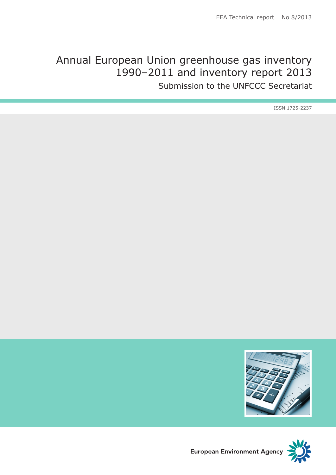# Annual European Union greenhouse gas inventory 1990–2011 and inventory report 2013

Submission to the UNFCCC Secretariat

ISSN 1725-2237





European Environment Agency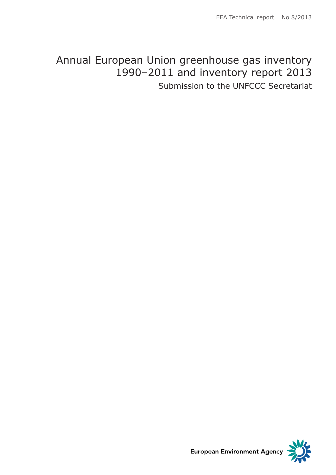# Annual European Union greenhouse gas inventory 1990–2011 and inventory report 2013

Submission to the UNFCCC Secretariat



**European Environment Agency**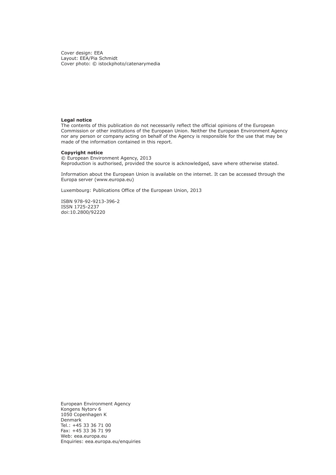Cover design: EEA Layout: EEA/Pia Schmidt Cover photo: © istockphoto/catenarymedia

#### **Legal notice**

The contents of this publication do not necessarily reflect the official opinions of the European Commission or other institutions of the European Union. Neither the European Environment Agency nor any person or company acting on behalf of the Agency is responsible for the use that may be made of the information contained in this report.

#### **Copyright notice**

© European Environment Agency, 2013 Reproduction is authorised, provided the source is acknowledged, save where otherwise stated.

Information about the European Union is available on the internet. It can be accessed through the Europa server (www.europa.eu)

Luxembourg: Publications Office of the European Union, 2013

ISBN 978-92-9213-396-2 ISSN 1725-2237 doi:10.2800/92220

European Environment Agency Kongens Nytorv 6 1050 Copenhagen K **Denmark** Tel.: +45 33 36 71 00 Fax: +45 33 36 71 99 Web: eea.europa.eu Enquiries: eea.europa.eu/enquiries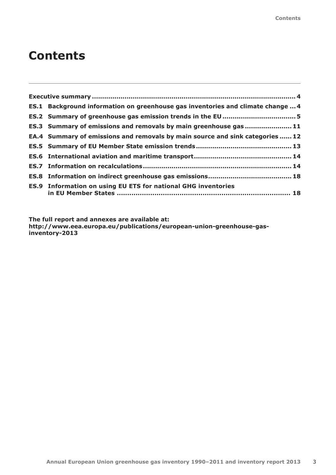# **Contents**

| <b>ES.1</b> Background information on greenhouse gas inventories and climate change  4 |
|----------------------------------------------------------------------------------------|
|                                                                                        |
|                                                                                        |
|                                                                                        |
| ES.3 Summary of emissions and removals by main greenhouse gas 11                       |
| EA.4 Summary of emissions and removals by main source and sink categories  12          |
|                                                                                        |
|                                                                                        |
|                                                                                        |
|                                                                                        |
|                                                                                        |
|                                                                                        |

**The full report and annexes are available at: [http://www.eea.europa.eu/publications/european-union-greenhouse-gas](http://www.eea.europa.eu/publications/european-union-greenhouse-gas-inventory-2013)[inventory-2013](http://www.eea.europa.eu/publications/european-union-greenhouse-gas-inventory-2013)**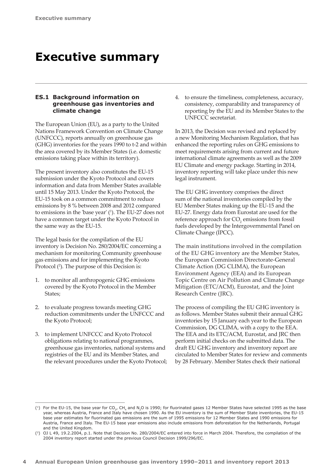# <span id="page-5-0"></span>**Executive summary**

# **ES.1 Background information on greenhouse gas inventories and climate change**

The European Union (EU), as a party to the United Nations Framework Convention on Climate Change (UNFCCC), reports annually on greenhouse gas (GHG) inventories for the years 1990 to t-2 and within the area covered by its Member States (i.e. domestic emissions taking place within its territory).

The present inventory also constitutes the EU-15 submission under the Kyoto Protocol and covers information and data from Member States available until 15 May 2013. Under the Kyoto Protocol, the EU-15 took on a common commitment to reduce emissions by 8 % between 2008 and 2012 compared to emissions in the 'base year' ( 1 ). The EU-27 does not have a common target under the Kyoto Protocol in the same way as the EU-15.

The legal basis for the compilation of the EU inventory is Decision No. 280/2004/EC concerning a mechanism for monitoring Community greenhouse gas emissions and for implementing the Kyoto Protocol <sup>(2</sup>). The purpose of this Decision is:

- 1. to monitor all anthropogenic GHG emissions covered by the Kyoto Protocol in the Member States;
- 2. to evaluate progress towards meeting GHG reduction commitments under the UNFCCC and the Kyoto Protocol;
- 3. to implement UNFCCC and Kyoto Protocol obligations relating to national programmes, greenhouse gas inventories, national systems and registries of the EU and its Member States, and the relevant procedures under the Kyoto Protocol;

4. to ensure the timeliness, completeness, accuracy, consistency, comparability and transparency of reporting by the EU and its Member States to the UNFCCC secretariat.

In 2013, the Decision was revised and replaced by a new Monitoring Mechanism Regulation, that has enhanced the reporting rules on GHG emissions to meet requirements arising from current and future international climate agreements as well as the 2009 EU Climate and energy package. Starting in 2014, inventory reporting will take place under this new legal instrument.

The EU GHG inventory comprises the direct sum of the national inventories compiled by the EU Member States making up the EU-15 and the EU-27. Energy data from Eurostat are used for the reference approach for  $CO<sub>2</sub>$  emissions from fossil fuels developed by the Intergovernmental Panel on Climate Change (IPCC).

The main institutions involved in the compilation of the EU GHG inventory are the Member States, the European Commission Directorate-General Climate Action (DG CLIMA), the European Environment Agency (EEA) and its European Topic Centre on Air Pollution and Climate Change Mitigation (ETC/ACM), Eurostat, and the Joint Research Centre (JRC).

The process of compiling the EU GHG inventory is as follows. Member States submit their annual GHG inventories by 15 January each year to the European Commission, DG CLIMA, with a copy to the EEA. The EEA and its ETC/ACM, Eurostat, and JRC then perform initial checks on the submitted data. The draft EU GHG inventory and inventory report are circulated to Member States for review and comments by 28 February. Member States check their national

<sup>(1)</sup> For the EU-15, the base year for CO<sub>2</sub>, CH<sub>4</sub> and N<sub>2</sub>O is 1990; for fluorinated gases 12 Member States have selected 1995 as the base year, whereas Austria, France and Italy have chosen 1990. As the EU inventory is the sum of Member State inventories, the EU-15 base year estimates for fluorinated gas emissions are the sum of 1995 emissions for 12 Member States and 1990 emissions for Austria, France and Italy. The EU-15 base year emissions also include emissions from deforestation for the Netherlands, Portugal and the United Kingdom.

<sup>(2)</sup> OJ L 49, 19.2.2004, p.1. Note that Decision No. 280/2004/EC entered into force in March 2004. Therefore, the compilation of the 2004 inventory report started under the previous Council Decision 1999/296/EC.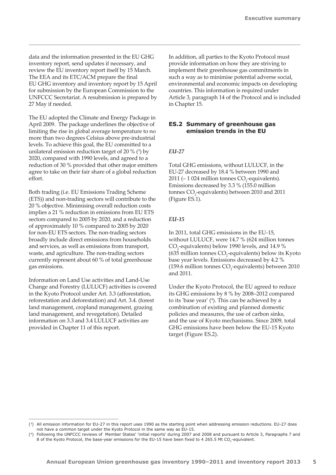<span id="page-6-0"></span>data and the information presented in the EU GHG inventory report, send updates if necessary, and review the EU inventory report itself by 15 March. The EEA and its ETC/ACM prepare the final EU GHG inventory and inventory report by 15 April for submission by the European Commission to the UNFCCC Secretariat. A resubmission is prepared by 27 May if needed.

The EU adopted the Climate and Energy Package in April 2009. The package underlines the objective of limiting the rise in global average temperature to no more than two degrees Celsius above pre-industrial levels. To achieve this goal, the EU committed to a unilateral emission reduction target of 20  $\%$  ( $\degree$ ) by 2020, compared with 1990 levels, and agreed to a reduction of 30 % provided that other major emitters agree to take on their fair share of a global reduction effort.

Both trading (i.e. EU Emissions Trading Scheme (ETS)) and non-trading sectors will contribute to the 20 % objective. Minimising overall reduction costs implies a 21 % reduction in emissions from EU ETS sectors compared to 2005 by 2020, and a reduction of approximately 10 % compared to 2005 by 2020 for non-EU ETS sectors. The non-trading sectors broadly include direct emissions from households and services, as well as emissions from transport, waste, and agriculture. The non-trading sectors currently represent about 60 % of total greenhouse gas emissions.

Information on Land Use activities and Land-Use Change and Forestry (LULUCF) activities is covered in the Kyoto Protocol under Art. 3.3 (afforestation, reforestation and deforestation) and Art. 3.4. (forest land management, cropland management, grazing land management, and revegetation). Detailed information on 3.3 and 3.4 LULUCF activities are provided in Chapter 11 of this report.

In addition, all parties to the Kyoto Protocol must provide information on how they are striving to implement their greenhouse gas commitments in such a way as to minimise potential adverse social, environmental and economic impacts on developing countries. This information is required under Article 3, paragraph 14 of the Protocol and is included in Chapter 15.

### **ES.2 Summary of greenhouse gas emission trends in the EU**

#### *EU‑27*

Total GHG emissions, without LULUCF, in the EU-27 decreased by 18.4 % between 1990 and 2011 ( $-1$  024 million tonnes  $CO_2$ -equivalents). Emissions decreased by 3.3 % (155.0 million tonnes  $CO_2$ -equivalents) between 2010 and 2011 (Figure ES.1).

### *EU‑15*

In 2011, total GHG emissions in the EU-15, without LULUCF, were 14.7 % (624 million tonnes  $CO_2$ -equivalents) below 1990 levels, and 14.9 % (635 million tonnes  $CO_2$ -equivalents) below its Kyoto base year levels. Emissions decreased by 4.2 % (159.6 million tonnes  $CO<sub>2</sub>$ -equivalents) between 2010 and 2011.

Under the Kyoto Protocol, the EU agreed to reduce its GHG emissions by 8 % by 2008–2012 compared to its 'base year'  $(4)$ . This can be achieved by a combination of existing and planned domestic policies and measures, the use of carbon sinks, and the use of Kyoto mechanisms. Since 2009, total GHG emissions have been below the EU-15 Kyoto target (Figure ES.2).

<sup>(3)</sup> All emission information for EU-27 in this report uses 1990 as the starting point when addressing emission reductions. EU-27 does not have a common target under the Kyoto Protocol in the same way as EU-15.

<sup>(4)</sup> Following the UNFCCC reviews of Member States' 'initial reports' during 2007 and 2008 and pursuant to Article 3, Paragraphs 7 and 8 of the Kyoto Protocol, the base-year emissions for the EU-15 have been fixed to 4 265.5 Mt CO<sub>2</sub>-equivalent.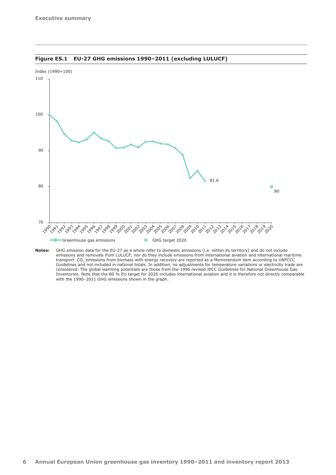

**Figure ES.1 EU-27 GHG emissions 1990–2011 (excluding LULUCF)** 

**Notes:** GHG emission data for the EU-27 as a whole refer to domestic emissions (i.e. within its territory) and do not include emissions and removals from LULUCF; nor do they include emissions from international aviation and international maritime transport. CO<sub>2</sub> emissions from biomass with energy recovery are reported as a Memorandum item according to UNFCCC<br>Guidelines and not included in national totals. In addition, no adjustments for temperature variations or e considered. The global warming potentials are those from the 1996 revised IPCC Guidelines for National Greenhouse Gas Inventories. Note that the 80 % EU target for 2020 includes international aviation and it is therefore not directly comparable with the 1990-2011 GHG emissions shown in the graph.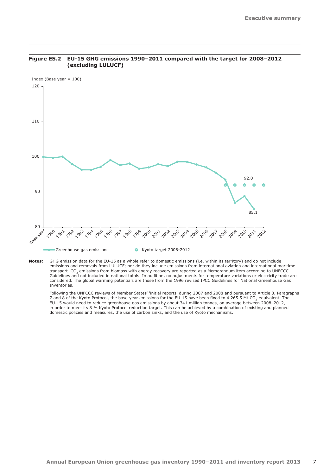

#### **Figure ES.2 EU-15 GHG emissions 1990–2011 compared with the target for 2008–2012 (excluding LULUCF)**

**Notes:** GHG emission data for the EU-15 as a whole refer to domestic emissions (i.e. within its territory) and do not include emissions and removals from LULUCF; nor do they include emissions from international aviation and international maritime transport. CO2 emissions from biomass with energy recovery are reported as a Memorandum item according to UNFCCC Guidelines and not included in national totals. In addition, no adjustments for temperature variations or electricity trade are considered. The global warming potentials are those from the 1996 revised IPCC Guidelines for National Greenhouse Gas Inventories.

Following the UNFCCC reviews of Member States' 'initial reports' during 2007 and 2008 and pursuant to Article 3, Paragraphs 7 and 8 of the Kyoto Protocol, the base-year emissions for the EU-15 have been fixed to 4 265.5 Mt CO<sub>2</sub>-equivalent. The EU-15 would need to reduce greenhouse gas emissions by about 341 million tonnes, on average between 2008–2012, in order to meet its 8 % Kyoto Protocol reduction target. This can be achieved by a combination of existing and planned domestic policies and measures, the use of carbon sinks, and the use of Kyoto mechanisms.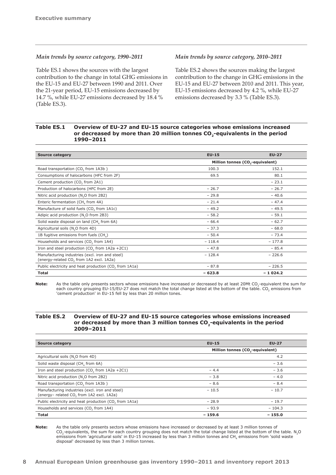#### *Main trends by source category, 1990–2011*

Table ES.1 shows the sources with the largest contribution to the change in total GHG emissions in the EU-15 and EU-27 between 1990 and 2011. Over the 21-year period, EU-15 emissions decreased by 14.7 %, while EU-27 emissions decreased by 18.4 % (Table ES.3).

#### *Main trends by source category, 2010–2011*

Table ES.2 shows the sources making the largest contribution to the change in GHG emissions in the EU-15 and EU-27 between 2010 and 2011. This year, EU-15 emissions decreased by 4.2 %, while EU-27 emissions decreased by 3.3 % (Table ES.3).

### **Table ES.1 Overview of EU-27 and EU-15 source categories whose emissions increased**  or decreased by more than 20 million tonnes CO<sub>2</sub>-equivalents in the period **1990–2011**

| <b>Source category</b>                                                                                  | <b>EU-15</b>                                 | <b>EU-27</b> |  |  |  |  |
|---------------------------------------------------------------------------------------------------------|----------------------------------------------|--------------|--|--|--|--|
|                                                                                                         | Million tonnes (CO <sub>2</sub> -equivalent) |              |  |  |  |  |
| Road transportation (CO <sub>2</sub> from 1A3b)                                                         | 100.3                                        | 152.1        |  |  |  |  |
| Consumptions of halocarbons (HFC from 2F)                                                               | 69.5                                         | 80.1         |  |  |  |  |
| Cement production (CO <sub>2</sub> from 2A1)                                                            |                                              | $-23.1$      |  |  |  |  |
| Production of halocarbons (HFC from 2E)                                                                 | $-26.7$                                      | $-26.7$      |  |  |  |  |
| Nitric acid production (N <sub>2</sub> O from 2B2)                                                      | $-29.8$                                      | $-40.6$      |  |  |  |  |
| Enteric fermentation (CH <sub>4</sub> from 4A)                                                          | $-21.4$                                      | $-47.4$      |  |  |  |  |
| Manufacture of solid fuels (CO <sub>2</sub> from 1A1c)                                                  | $-49.2$                                      | $-49.5$      |  |  |  |  |
| Adipic acid production (N <sub>2</sub> O from 2B3)                                                      | $-58.2$                                      | $-59.1$      |  |  |  |  |
| Solid waste disposal on land (CH <sub>4</sub> from 6A)                                                  | $-66.4$                                      | $-62.7$      |  |  |  |  |
| Agricultural soils (N <sub>2</sub> O from 4D)                                                           | $-37.3$                                      | $-68.0$      |  |  |  |  |
| 1B fugitive emissions from fuels (CH <sub>4</sub> )                                                     | $-50.4$                                      | $-73.4$      |  |  |  |  |
| Households and services (CO, from 1A4)                                                                  | $-118.4$                                     | $-177.8$     |  |  |  |  |
| Iron and steel production (CO <sub>2</sub> from $1A2a + 2C1$ )                                          | $-47.8$                                      | $-85.4$      |  |  |  |  |
| Manufacturing industries (excl. iron and steel)<br>(energy-related CO <sub>2</sub> from 1A2 excl. 1A2a) | $-128.4$                                     | $-226.6$     |  |  |  |  |
| Public electricity and heat production (CO, from 1A1a)                                                  | $-87.8$                                      | $-226.5$     |  |  |  |  |
| <b>Total</b>                                                                                            | $-623.8$                                     | $-1024.2$    |  |  |  |  |

Note: As the table only presents sectors whose emissions have increased or decreased by at least 20Mt CO<sub>2</sub>-equivalent the sum for each country grouping EU-15/EU-27 does not match the total change listed at the bottom of the table. CO<sub>2</sub> emissions from 'cement production' in EU-15 fell by less than 20 million tones.

### **Table ES.2 Overview of EU-27 and EU-15 source categories whose emissions increased**  or decreased by more than 3 million tonnes CO<sub>2</sub>-equivalents in the period **2009–2011**

| <b>Source category</b>                                                                                   | $EU-15$                                      | <b>EU-27</b> |  |  |  |
|----------------------------------------------------------------------------------------------------------|----------------------------------------------|--------------|--|--|--|
|                                                                                                          | Million tonnes (CO <sub>2</sub> -equivalent) |              |  |  |  |
| Agricultural soils (N <sub>2</sub> O from 4D)                                                            |                                              | 4.2          |  |  |  |
| Solid waste disposal (CH, from 6A)                                                                       |                                              | $-3.6$       |  |  |  |
| Iron and steel production (CO <sub>2</sub> from $1A2a + 2C1$ )                                           | $-4.4$                                       | $-3.6$       |  |  |  |
| Nitric acid production (N <sub>2</sub> O from 2B2)                                                       | $-3.8$                                       | $-4.0$       |  |  |  |
| Road transportation (CO, from 1A3b)                                                                      | $-8.6$                                       | $-8.4$       |  |  |  |
| Manufacturing industries (excl. iron and steel)<br>(energy- related CO <sub>2</sub> from 1A2 excl. 1A2a) | $-10.5$                                      | $-10.7$      |  |  |  |
| Public electricity and heat production (CO, from 1A1a)                                                   | $-28.9$                                      | $-19.7$      |  |  |  |
| Households and services (CO <sub>2</sub> from 1A4)                                                       | $-93.9$                                      | $-104.3$     |  |  |  |
| <b>Total</b>                                                                                             | $-159.6$                                     | $-155.0$     |  |  |  |

**Note:** As the table only presents sectors whose emissions have increased or decreased by at least 3 million tonnes of  $CO_2$ -equivalents, the sum for each country grouping does not match the total change listed at the bottom of the table. N<sub>2</sub>O emissions from 'agricultural soils' in EU-15 increased by less than 3 million tonnes and CH<sub>4</sub> emissions from 'solid waste disposal' decreased by less than 3 million tonnes.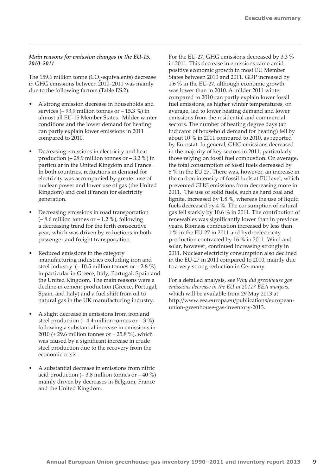#### *Main reasons for emission changes in the EU‑15, 2010–2011*

The 159.6 million tonne  $(CO<sub>2</sub>$ -equivalents) decrease in GHG emissions between 2010–2011 was mainly due to the following factors (Table ES.2):

- A strong emission decrease in households and services  $(-93.9 \text{ million tonnes or } -15.3 \text{ %})$  in almost all EU-15 Member States. Milder winter conditions and the lower demand for heating can partly explain lower emissions in 2011 compared to 2010.
- Decreasing emissions in electricity and heat production  $(-28.9 \text{ million tonnes or } -3.2 \text{ %})$  in particular in the United Kingdom and France. In both countries, reductions in demand for electricity was accompanied by greater use of nuclear power and lower use of gas (the United Kingdom) and coal (France) for electricity generation.
- Decreasing emissions in road transportation  $(-8.6 \text{ million tonnes or } -1.2 \text{ %})$ , following a decreasing trend for the forth consecutive year, which was driven by reductions in both passenger and freight transportation.
- Reduced emissions in the category 'manufacturing industries excluding iron and steel industry' (– 10.5 million tonnes or – 2.8 %) in particular in Greece, Italy, Portugal, Spain and the United Kingdom. The main reasons were a decline in cement production (Greece, Portugal, Spain, and Italy) and a fuel shift from oil to natural gas in the UK manufacturing industry.
- A slight decrease in emissions from iron and steel production  $(-4.4 \text{ million tonnes or } -3 \%)$ following a substantial increase in emissions in 2010 (+ 29.6 million tonnes or + 25.8 %), which was caused by a significant increase in crude steel production due to the recovery from the economic crisis.
- A substantial decrease in emissions from nitric acid production  $(-3.8 \text{ million tonnes or } -40 \%)$ mainly driven by decreases in Belgium, France and the United Kingdom.

For the EU-27, GHG emissions decreased by 3.3 % in 2011. This decrease in emissions came amid positive economic growth in most EU Member States between 2010 and 2011. GDP increased by 1.6 % in the EU-27, although economic growth was lower than in 2010. A milder 2011 winter compared to 2010 can partly explain lower fossil fuel emissions, as higher winter temperatures, on average, led to lower heating demand and lower emissions from the residential and commercial sectors. The number of heating degree days (an indicator of household demand for heating) fell by about 10 % in 2011 compared to 2010, as reported by Eurostat. In general, GHG emissions decreased in the majority of key sectors in 2011, particularly those relying on fossil fuel combustion. On average, the total consumption of fossil fuels decreased by 5 % in the EU 27. There was, however, an increase in the carbon intensity of fossil fuels at EU level, which prevented GHG emissions from decreasing more in 2011. The use of solid fuels, such as hard coal and lignite, increased by 1.8 %, whereas the use of liquid fuels decreased by 4 %. The consumption of natural gas fell starkly by 10.6 % in 2011. The contribution of renewables was significantly lower than in previous years. Biomass combustion increased by less than 1 % in the EU-27 in 2011 and hydroelectricity production contracted by 16 % in 2011. Wind and solar, however, continued increasing strongly in 2011. Nuclear electricity consumption also declined in the EU-27 in 2011 compared to 2010, mainly due to a very strong reduction in Germany.

For a detailed analysis, see *Why did greenhouse gas emissions decrease in the EU in 2011? EEA analysis*, which will be available from 29 May 2013 at [http://www.eea.europa.eu/publications/european](http://www.eea.europa.eu/publications/european-union-greenhouse-gas-inventory-2013)[union-greenhouse-gas-inventory-2013.](http://www.eea.europa.eu/publications/european-union-greenhouse-gas-inventory-2013)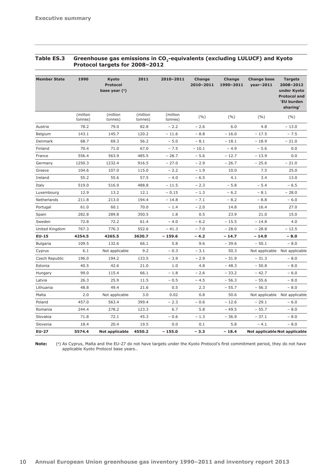| Table ES.3 | Greenhouse gas emissions in CO <sub>2</sub> -equivalents (excluding LULUCF) and Kyoto |
|------------|---------------------------------------------------------------------------------------|
|            | Protocol targets for 2008-2012                                                        |

| <b>Member State</b> | 1990                | Kyoto<br><b>Protocol</b><br>base year $($ <sup>a</sup> ) | 2011                | 2010-2011           | Change<br>2010-2011 | Change<br>1990-2011 | <b>Change base</b><br>$year-2011$ | <b>Targets</b><br>2008-2012<br>under Kyoto<br><b>Protocol and</b><br>'EU burden<br>sharing' |
|---------------------|---------------------|----------------------------------------------------------|---------------------|---------------------|---------------------|---------------------|-----------------------------------|---------------------------------------------------------------------------------------------|
|                     | (million<br>tonnes) | (million<br>tonnes)                                      | (million<br>tonnes) | (million<br>tonnes) | (9/6)               | (9/6)               | (9/0)                             | (%)                                                                                         |
| Austria             | 78.2                | 79.0                                                     | 82.8                | $-2.2$              | $-2.6$              | 6.0                 | 4.8                               | $-13.0$                                                                                     |
| Belgium             | 143.1               | 145.7                                                    | 120.2               | $-11.6$             | $-8.8$              | $-16.0$             | $-17.5$                           | $-7.5$                                                                                      |
| Denmark             | 68.7                | 69.3                                                     | 56.2                | $-5.0$              | $-8.1$              | $-18.1$             | $-18.9$                           | $-21.0$                                                                                     |
| Finland             | 70.4                | 71.0                                                     | 67.0                | $-7.5$              | $-10.1$             | $-4.9$              | $-5.6$                            | 0.0                                                                                         |
| France              | 556.4               | 563.9                                                    | 485.5               | $-28.7$             | $-5.6$              | $-12.7$             | $-13.9$                           | 0.0                                                                                         |
| Germany             | 1250.3              | 1232.4                                                   | 916.5               | $-27.0$             | $-2.9$              | $-26.7$             | $-25.6$                           | $-21.0$                                                                                     |
| Greece              | 104.6               | 107.0                                                    | 115.0               | $-2.2$              | $-1.9$              | 10.0                | 7.5                               | 25.0                                                                                        |
| Ireland             | 55.2                | 55.6                                                     | 57.5                | $-4.0$              | $-6.5$              | 4.1                 | 3.4                               | 13.0                                                                                        |
| Italy               | 519.0               | 516.9                                                    | 488.8               | $-11.5$             | $-2.3$              | $-5.8$              | $-5.4$                            | $-6.5$                                                                                      |
| Luxembourg          | 12.9                | 13.2                                                     | 12.1                | $-0.15$             | $-1.3$              | $-6.2$              | $-8.1$                            | $-28.0$                                                                                     |
| Netherlands         | 211.8               | 213.0                                                    | 194.4               | $-14.8$             | $-7.1$              | $-8.2$              | $-8.8$                            | $-6.0$                                                                                      |
| Portugal            | 61.0                | 60.1                                                     | 70.0                | $-1.4$              | $-2.0$              | 14.8                | 16.4                              | 27.0                                                                                        |
| Spain               | 282.8               | 289.8                                                    | 350.5               | 1.8                 | 0.5                 | 23.9                | 21.0                              | 15.0                                                                                        |
| Sweden              | 72.8                | 72.2                                                     | 61.4                | $-4.0$              | $-6.2$              | $-15.5$             | $-14.8$                           | 4.0                                                                                         |
| United Kingdom      | 767.3               | 776.3                                                    | 552.6               | $-41.3$             | $-7.0$              | $-28.0$             | $-28.8$                           | $-12.5$                                                                                     |
| <b>EU-15</b>        | 4254.5              | 4265.5                                                   | 3630.7              | $-159.6$            | $-4.2$              | $-14.7$             | - 14.9                            | $-8.0$                                                                                      |
| Bulgaria            | 109.5               | 132.6                                                    | 66.1                | 5.8                 | 9.6                 | $-39.6$             | $-50.1$                           | $-8.0$                                                                                      |
| Cyprus              | 6.1                 | Not applicable                                           | 9.2                 | $-0.3$              | $-3.1$              | 50.3                |                                   | Not applicable Not applicable                                                               |
| Czech Republic      | 196.0               | 194.2                                                    | 133.5               | $-3.9$              | $-2.9$              | $-31.9$             | $-31.3$                           | $-8.0$                                                                                      |
| Estonia             | 40.5                | 42.6                                                     | 21.0                | 1.0                 | 4.8                 | $-48.3$             | $-50.8$                           | $-8.0$                                                                                      |
| Hungary             | 99.0                | 115.4                                                    | 66.1                | $-1.8$              | $-2.6$              | $-33.2$             | $-42.7$                           | $-6.0$                                                                                      |
| Latvia              | 26.3                | 25.9                                                     | 11.5                | $-0.5$              | $-4.5$              | $-56.3$             | $-55.6$                           | $-8.0$                                                                                      |
| Lithuania           | 48.8                | 49.4                                                     | 21.6                | 0.5                 | 2.3                 | $-55.7$             | $-56.3$                           | $-8.0$                                                                                      |
| Malta               | 2.0                 | Not applicable                                           | 3.0                 | 0.02                | 0.8                 | 50.6                |                                   | Not applicable Not applicable                                                               |
| Poland              | 457.0               | 563.4                                                    | 399.4               | $-2.3$              | $-0.6$              | $-12.6$             | $-29.1$                           | $-6.0$                                                                                      |
| Romania             | 244.4               | 278.2                                                    | 123.3               | 6.7                 | 5.8                 | $-49.5$             | $-55.7$                           | $-8.0$                                                                                      |
| Slovakia            | 71.8                | 72.1                                                     | 45.3                | $-0.6$              | $-1.3$              | $-36.9$             | - 37.1                            | $-8.0$                                                                                      |
| Slovenia            | 18.4                | 20.4                                                     | 19.5                | 0.0                 | 0.1                 | 5.8                 | $-4.1$                            | $-8.0$                                                                                      |
| <b>EU-27</b>        | 5574.4              | Not applicable                                           | 4550.2              | $-155.0$            | $-3.3$              | $-18.4$             | Not applicable Not applicable     |                                                                                             |

**Note:** (<sup>a</sup>) As Cyprus, Malta and the EU-27 do not have targets under the Kyoto Protocol's first commitment period, they do not have applicable Kyoto Protocol base years..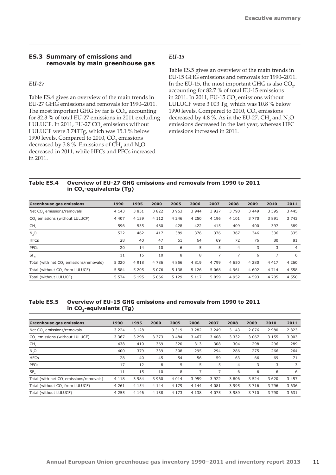# <span id="page-12-0"></span>**ES.3 Summary of emissions and removals by main greenhouse gas**

#### *EU‑27*

Table ES.4 gives an overview of the main trends in EU-27 GHG emissions and removals for 1990–2011. The most important GHG by far is  $CO_{2}$  accounting for 82.3 % of total EU-27 emissions in 2011 excluding LULUCF. In 2011, EU-27  $\text{CO}_2$  emissions without LULUCF were 3 743Tg, which was 15.1 % below 1990 levels. Compared to 2010,  $CO<sub>2</sub>$  emissions decreased by 3.8 %. Emissions of  $CH_4$  and  $N_2O$ decreased in 2011, while HFCs and PFCs increased in 2011.

### *EU‑15*

Table ES.5 gives an overview of the main trends in EU-15 GHG emissions and removals for 1990–2011. In the EU-15, the most important GHG is also  $CO_{2}$ , accounting for 82.7 % of total EU-15 emissions in 2011. In 2011, EU-15  $CO<sub>2</sub>$  emissions without LULUCF were 3 003 Tg, which was 10.8 % below 1990 levels. Compared to 2010,  $CO<sub>2</sub>$  emissions decreased by 4.8 %. As in the EU-27,  $CH_4$  and  $N_2O$ emissions decreased in the last year, whereas HFC emissions increased in 2011.

# **Table ES.4 Overview of EU-27 GHG emissions and removals from 1990 to 2011**  in CO<sub>2</sub>-equivalents (Tg)

| <b>Greenhouse gas emissions</b>                     | 1990    | 1995    | 2000    | 2005    | 2006    | 2007    | 2008           | 2009    | 2010    | 2011           |
|-----------------------------------------------------|---------|---------|---------|---------|---------|---------|----------------|---------|---------|----------------|
| Net CO <sub>2</sub> emissions/removals              | 4 1 4 3 | 3851    | 3822    | 3 9 6 3 | 3 9 4 4 | 3 9 2 7 | 3790           | 3 4 4 9 | 3 5 9 5 | 3 4 4 5        |
| CO <sub>2</sub> emissions (without LULUCF)          | 4 4 0 7 | 4 1 3 9 | 4 1 1 2 | 4 2 4 6 | 4 2 5 0 | 4 1 9 6 | 4 1 0 1        | 3770    | 3891    | 3 7 4 3        |
| CH <sub>4</sub>                                     | 596     | 535     | 480     | 428     | 422     | 415     | 409            | 400     | 397     | 389            |
| N, O                                                | 522     | 462     | 417     | 389     | 376     | 376     | 367            | 346     | 336     | 335            |
| <b>HFCs</b>                                         | 28      | 40      | 47      | 61      | 64      | 69      | 72             | 76      | 80      | 81             |
| <b>PFCs</b>                                         | 20      | 14      | 10      | 6       | 5       | 5       | $\overline{4}$ | 3       | 3       | $\overline{4}$ |
| SF <sub>6</sub>                                     | 11      | 15      | 10      | 8       | 8       | 7       | 7              | 6       | 7       | 6              |
| Total (with net CO <sub>2</sub> emissions/removals) | 5 3 2 0 | 4 9 1 8 | 4 7 8 6 | 4856    | 4 8 1 9 | 4 7 9 9 | 4 6 5 0        | 4 2 8 0 | 4 4 1 7 | 4 2 6 0        |
| Total (without CO, from LULUCF)                     | 5 5 8 4 | 5 2 0 5 | 5 0 7 6 | 5 1 3 8 | 5 1 2 6 | 5 0 6 8 | 4 9 6 1        | 4 602   | 4 7 1 4 | 4 5 5 8        |
| Total (without LULUCF)                              | 5 5 7 4 | 5 1 9 5 | 5 0 6 6 | 5 1 2 9 | 5 1 1 7 | 5 0 5 9 | 4 9 5 2        | 4 5 9 3 | 4 7 0 5 | 4 5 5 0        |

# **Table ES.5 Overview of EU-15 GHG emissions and removals from 1990 to 2011**  in CO<sub>2</sub>-equivalents (Tg)

| Greenhouse gas emissions                            | 1990    | 1995    | 2000    | 2005    | 2006    | 2007    | 2008    | 2009    | 2010    | 2011    |
|-----------------------------------------------------|---------|---------|---------|---------|---------|---------|---------|---------|---------|---------|
| Net CO <sub>2</sub> emissions/removals              | 3 2 2 4 | 3 1 2 8 |         | 3 3 1 9 | 3 2 8 2 | 3 2 4 9 | 3 1 4 3 | 2876    | 2 9 8 0 | 2823    |
| CO <sub>2</sub> emissions (without LULUCF)          | 3 3 6 7 | 3 2 9 8 | 3 3 7 3 | 3 4 8 4 | 3 4 6 7 | 3 4 0 8 | 3 3 3 2 | 3 0 6 7 | 3 1 5 5 | 3 0 0 3 |
| CH <sub>4</sub>                                     | 438     | 410     | 369     | 320     | 313     | 308     | 304     | 298     | 296     | 289     |
| N, O                                                | 400     | 379     | 339     | 308     | 295     | 294     | 286     | 275     | 266     | 264     |
| <b>HFCs</b>                                         | 28      | 40      | 45      | 54      | 56      | 59      | 63      | 66      | 69      | 71      |
| <b>PFCs</b>                                         | 17      | 12      | 8       | 5       | 5       | 5       | 4       | 3       | 3       | 3       |
| SF <sub>6</sub>                                     | 11      | 15      | 10      | 8       |         | 7       | 6       | 6       | 6       | 6       |
| Total (with net CO <sub>2</sub> emissions/removals) | 4 1 1 8 | 3 9 8 4 | 3 9 6 0 | 4 0 1 4 | 3 9 5 9 | 3 9 2 2 | 3806    | 3 5 2 4 | 3 6 2 0 | 3 4 5 7 |
| Total (without CO, from LULUCF)                     | 4 2 6 1 | 4 1 5 4 | 4 1 4 4 | 4 1 7 9 | 4 1 4 4 | 4 0 8 1 | 3 9 9 5 | 3 7 1 6 | 3 7 9 6 | 3 6 3 6 |
| Total (without LULUCF)                              | 4 2 5 5 | 4 1 4 6 | 4 1 3 8 | 4 1 7 3 | 4 1 3 8 | 4 0 7 5 | 3 9 8 9 | 3 7 1 0 | 3 7 9 0 | 3 6 3 1 |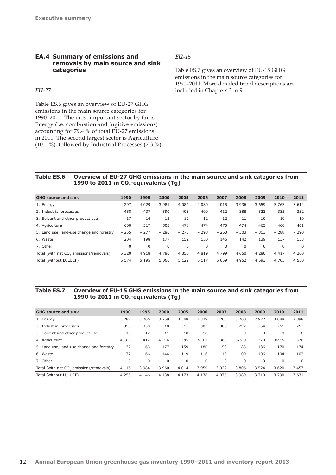# <span id="page-13-0"></span>**EA.4 Summary of emissions and removals by main source and sink categories**

# *EU‑27*

Table ES.6 gives an overview of EU-27 GHG emissions in the main source categories for 1990–2011. The most important sector by far is Energy (i.e. combustion and fugitive emissions) accounting for 79.4 % of total EU-27 emissions in 2011. The second largest sector is Agriculture (10.1 %), followed by Industrial Processes (7.3 %).

#### *EU‑15*

Table ES.7 gives an overview of EU-15 GHG emissions in the main source categories for 1990–2011. More detailed trend descriptions are included in Chapters 3 to 9.

# **Table ES.6 Overview of EU-27 GHG emissions in the main source and sink categories from 1990 to 2011 in CO<sub>2</sub>-equivalents (Tg)**

| <b>GHG</b> source and sink                          | 1990    | 1995        | 2000    | 2005     | 2006    | 2007    | 2008                            | 2009    | 2010    | 2011     |
|-----------------------------------------------------|---------|-------------|---------|----------|---------|---------|---------------------------------|---------|---------|----------|
| 1. Energy                                           | 4 2 9 7 | 4 0 2 9     | 3 9 8 1 | 4 0 8 4  | 4 0 8 0 | 4 0 1 5 | 3 9 3 6                         | 3 6 5 9 | 3 7 6 3 | 3 6 1 4  |
| 2. Industrial processes                             | 458     | 437         | 390     | 403      | 400     | 412     | 388                             | 323     | 335     | 332      |
| 3. Solvent and other product use                    | 17      | 14          | 13      | 12       | 12      | 12      | 11                              | 10      | 10      | 10       |
| 4. Agriculture                                      | 600     | 517         | 505     | 478      | 474     | 475     | 474                             | 463     | 460     | 461      |
| 5. Land use, land-use change and forestry           | $-255$  | $-277$      | $-280$  | $-273$   | $-298$  | $-260$  | 303<br>$\overline{\phantom{0}}$ | $-313$  | $-288$  | $-290$   |
| 6. Waste                                            | 204     | 198         | 177     | 152      | 150     | 146     | 142                             | 139     | 137     | 133      |
| 7. Other                                            | 0       | $\mathbf 0$ | 0       | $\Omega$ | 0       | 0       | $\Omega$                        | 0       | 0       | $\Omega$ |
| Total (with net CO <sub>2</sub> emissions/removals) | 5 3 2 0 | 4 9 1 8     | 4 7 8 6 | 4856     | 4819    | 4 7 9 9 | 4 6 5 0                         | 4 2 8 0 | 4 4 1 7 | 4 2 6 0  |
| Total (without LULUCF)                              | 5 5 7 4 | 5 1 9 5     | 5 0 6 6 | 5 1 2 9  | 5 1 1 7 | 5 0 5 9 | 4 9 5 2                         | 4 5 9 3 | 4 7 0 5 | 4 5 5 0  |

# **Table ES.7 Overview of EU-15 GHG emissions in the main source and sink categories from 1990 to 2011 in CO<sub>2</sub>-equivalents (Tg)**

| <b>GHG</b> source and sink                          | 1990    | 1995        | 2000        | 2005    | 2006    | 2007    | 2008        | 2009     | 2010    | 2011     |
|-----------------------------------------------------|---------|-------------|-------------|---------|---------|---------|-------------|----------|---------|----------|
| 1. Energy                                           | 3 2 8 2 | 3 2 0 6     | 3 2 5 9     | 3 3 4 8 | 3 3 2 9 | 3 2 6 5 | 3 200       | 2972     | 3 0 4 8 | 2898     |
| 2. Industrial processes                             | 353     | 350         | 310         | 311     | 303     | 308     | 292         | 254      | 261     | 253      |
| 3. Solvent and other product use                    | 13      | 12          | 11          | 10      | 10      | 9       | 9           | 8        | 8       | 8        |
| 4. Agriculture                                      | 433.9   | 412         | 413.4       | 385     | 380.1   | 380     | 379.0       | 370      | 369.5   | 370      |
| 5. Land use, land-use change and forestry           | $-137$  | $-163$      | $-177$      | $-159$  | $-180$  | $-153$  | $-183$      | $-186$   | $-170$  | $-174$   |
| 6. Waste                                            | 172     | 166         | 144         | 119     | 116     | 113     | 109         | 106      | 104     | 102      |
| 7. Other                                            | 0       | $\mathbf 0$ | $\mathbf 0$ | 0       | 0       | 0       | $\mathbf 0$ | $\Omega$ | 0       | $\Omega$ |
| Total (with net CO <sub>2</sub> emissions/removals) | 4 1 1 8 | 3 9 8 4     | 3 9 6 0     | 4 0 1 4 | 3 9 5 9 | 3 9 2 2 | 3806        | 3 5 2 4  | 3 6 2 0 | 3 4 5 7  |
| Total (without LULUCF)                              | 4 2 5 5 | 4 1 4 6     | 4 1 3 8     | 4 1 7 3 | 4 1 3 8 | 4 0 7 5 | 3 9 8 9     | 3710     | 3 7 9 0 | 3 6 3 1  |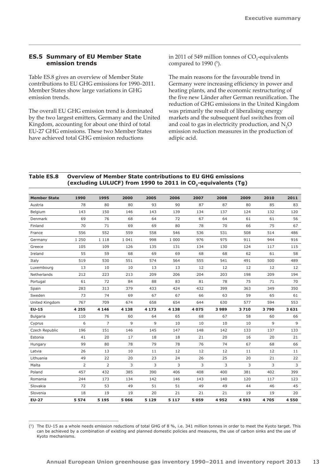# <span id="page-14-0"></span>**ES.5 Summary of EU Member State emission trends**

Table ES.8 gives an overview of Member State contributions to EU GHG emissions for 1990–2011. Member States show large variations in GHG emission trends.

The overall EU GHG emission trend is dominated by the two largest emitters, Germany and the United Kingdom, accounting for about one third of total EU-27 GHG emissions. These two Member States have achieved total GHG emission reductions

in 2011 of 549 million tonnes of  $CO_2$ -equivalents compared to 1990 $(5)$ .

The main reasons for the favourable trend in Germany were increasing efficiency in power and heating plants, and the economic restructuring of the five new Länder after German reunification. The reduction of GHG emissions in the United Kingdom was primarily the result of liberalising energy markets and the subsequent fuel switches from oil and coal to gas in electricity production, and  $N_2O$ emission reduction measures in the production of adipic acid.

# **Table ES.8 Overview of Member State contributions to EU GHG emissions**  (excluding LULUCF) from 1990 to 2011 in CO<sub>2</sub>-equivalents (Tg)

| <b>Member State</b> | 1990           | 1995           | 2000    | 2005    | 2006    | 2007    | 2008 | 2009 | 2010 | 2011 |
|---------------------|----------------|----------------|---------|---------|---------|---------|------|------|------|------|
| Austria             | 78             | 80             | 80      | 93      | 90      | 87      | 87   | 80   | 85   | 83   |
| Belgium             | 143            | 150            | 146     | 143     | 139     | 134     | 137  | 124  | 132  | 120  |
| Denmark             | 69             | 76             | 68      | 64      | 72      | 67      | 64   | 61   | 61   | 56   |
| Finland             | 70             | 71             | 69      | 69      | 80      | 78      | 70   | 66   | 75   | 67   |
| France              | 556            | 552            | 559     | 558     | 546     | 536     | 531  | 508  | 514  | 486  |
| Germany             | 1 2 5 0        | 1 1 1 8        | 1 0 4 1 | 998     | 1 0 0 0 | 976     | 975  | 911  | 944  | 916  |
| Greece              | 105            | 109            | 126     | 135     | 131     | 134     | 130  | 124  | 117  | 115  |
| Ireland             | 55             | 59             | 68      | 69      | 69      | 68      | 68   | 62   | 61   | 58   |
| Italy               | 519            | 530            | 551     | 574     | 564     | 555     | 541  | 491  | 500  | 489  |
| Luxembourg          | 13             | 10             | 10      | 13      | 13      | 12      | 12   | 12   | 12   | 12   |
| Netherlands         | 212            | 223            | 213     | 209     | 206     | 204     | 203  | 198  | 209  | 194  |
| Portugal            | 61             | 72             | 84      | 88      | 83      | 81      | 78   | 75   | 71   | 70   |
| Spain               | 283            | 313            | 379     | 433     | 424     | 432     | 399  | 363  | 349  | 350  |
| Sweden              | 73             | 74             | 69      | 67      | 67      | 66      | 63   | 59   | 65   | 61   |
| United Kingdom      | 767            | 709            | 674     | 658     | 654     | 644     | 630  | 577  | 594  | 553  |
| $EU-15$             | 4 2 5 5        | 4 1 4 6        | 4 1 3 8 | 4 1 7 3 | 4 1 3 8 | 4 0 7 5 | 3989 | 3710 | 3790 | 3631 |
| <b>Bulgaria</b>     | 110            | 76             | 60      | 64      | 65      | 68      | 67   | 58   | 60   | 66   |
| Cyprus              | 6              | $\overline{7}$ | 9       | 9       | 10      | 10      | 10   | 10   | 9    | 9    |
| Czech Republic      | 196            | 151            | 146     | 145     | 147     | 148     | 142  | 133  | 137  | 133  |
| Estonia             | 41             | 20             | 17      | 18      | 18      | 21      | 20   | 16   | 20   | 21   |
| Hungary             | 99             | 80             | 78      | 79      | 78      | 76      | 74   | 67   | 68   | 66   |
| Latvia              | 26             | 13             | 10      | 11      | 12      | 12      | 12   | 11   | 12   | 11   |
| Lithuania           | 49             | 22             | 20      | 23      | 24      | 26      | 25   | 20   | 21   | 22   |
| Malta               | $\overline{2}$ | 2              | 3       | 3       | 3       | 3       | 3    | 3    | 3    | 3    |
| Poland              | 457            | 432            | 385     | 390     | 406     | 408     | 400  | 381  | 402  | 399  |
| Romania             | 244            | 173            | 134     | 142     | 146     | 143     | 140  | 120  | 117  | 123  |
| Slovakia            | 72             | 53             | 49      | 51      | 51      | 49      | 49   | 44   | 46   | 45   |
| Slovenia            | 18             | 19             | 19      | 20      | 21      | 21      | 21   | 19   | 19   | 20   |
| <b>EU-27</b>        | 5 5 7 4        | 5 1 9 5        | 5066    | 5 1 2 9 | 5 1 1 7 | 5059    | 4952 | 4593 | 4705 | 4550 |

<sup>(5)</sup> The EU-15 as a whole needs emission reductions of total GHG of 8 %, i.e. 341 million tonnes in order to meet the Kyoto target. This can be achieved by a combination of existing and planned domestic policies and measures, the use of carbon sinks and the use of Kyoto mechanisms.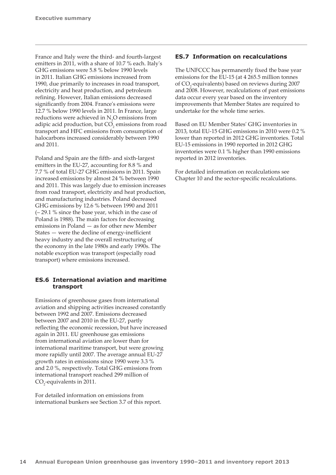<span id="page-15-0"></span>France and Italy were the third- and fourth-largest emitters in 2011, with a share of 10.7 % each. Italy's GHG emissions were 5.8 % below 1990 levels in 2011. Italian GHG emissions increased from 1990, due primarily to increases in road transport, electricity and heat production, and petroleum refining. However, Italian emissions decreased significantly from 2004. France's emissions were 12.7 % below 1990 levels in 2011. In France, large reductions were achieved in  $N_2O$  emissions from adipic acid production, but  $\mathrm{CO}_2$  emissions from road transport and HFC emissions from consumption of halocarbons increased considerably between 1990 and 2011.

Poland and Spain are the fifth- and sixth-largest emitters in the EU-27, accounting for 8.8 % and 7.7 % of total EU-27 GHG emissions in 2011. Spain increased emissions by almost 24 % between 1990 and 2011. This was largely due to emission increases from road transport, electricity and heat production, and manufacturing industries. Poland decreased GHG emissions by 12.6 % between 1990 and 2011 (– 29.1 % since the base year, which in the case of Poland is 1988). The main factors for decreasing emissions in Poland — as for other new Member States — were the decline of energy-inefficient heavy industry and the overall restructuring of the economy in the late 1980s and early 1990s. The notable exception was transport (especially road transport) where emissions increased.

# **ES.6 International aviation and maritime transport**

Emissions of greenhouse gases from international aviation and shipping activities increased constantly between 1992 and 2007. Emissions decreased between 2007 and 2010 in the EU-27, partly reflecting the economic recession, but have increased again in 2011. EU greenhouse gas emissions from international aviation are lower than for international maritime transport, but were growing more rapidly until 2007. The average annual EU-27 growth rates in emissions since 1990 were 3.3 % and 2.0 %, respectively. Total GHG emissions from international transport reached 299 million of  $CO<sub>2</sub>$ -equivalents in 2011.

For detailed information on emissions from international bunkers see Section 3.7 of this report.

# **ES.7 Information on recalculations**

The UNFCCC has permanently fixed the base year emissions for the EU-15 (at 4 265.5 million tonnes of CO<sub>2</sub>-equivalents) based on reviews during 2007 and 2008. However, recalculations of past emissions data occur every year based on the inventory improvements that Member States are required to undertake for the whole time series.

Based on EU Member States' GHG inventories in 2013, total EU-15 GHG emissions in 2010 were 0.2 % lower than reported in 2012 GHG inventories. Total EU-15 emissions in 1990 reported in 2012 GHG inventories were 0.1 % higher than 1990 emissions reported in 2012 inventories.

For detailed information on recalculations see Chapter 10 and the sector-specific recalculations.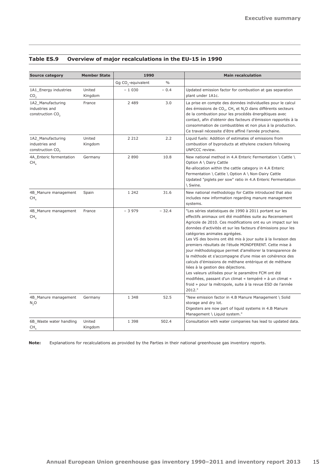| <b>Source category</b>                                              | <b>Member State</b> | 1990                           |               | <b>Main recalculation</b>                                                                                                                                                                                                                                                                                                                                                                                                                                                                                                                                                                                                                                                                                                                                                                                                         |  |  |  |  |
|---------------------------------------------------------------------|---------------------|--------------------------------|---------------|-----------------------------------------------------------------------------------------------------------------------------------------------------------------------------------------------------------------------------------------------------------------------------------------------------------------------------------------------------------------------------------------------------------------------------------------------------------------------------------------------------------------------------------------------------------------------------------------------------------------------------------------------------------------------------------------------------------------------------------------------------------------------------------------------------------------------------------|--|--|--|--|
|                                                                     |                     | Gg CO <sub>2</sub> -equivalent | $\frac{0}{0}$ |                                                                                                                                                                                                                                                                                                                                                                                                                                                                                                                                                                                                                                                                                                                                                                                                                                   |  |  |  |  |
| 1A1_Energy industries<br>CO <sub>2</sub>                            | United<br>Kingdom   | $-1030$                        | $-0.4$        | Updated emission factor for combustion at gas separation<br>plant under 1A1c.                                                                                                                                                                                                                                                                                                                                                                                                                                                                                                                                                                                                                                                                                                                                                     |  |  |  |  |
| 1A2_Manufacturing<br>industries and<br>construction CO <sub>2</sub> | France              | 2 4 8 9                        | 3.0           | La prise en compte des données individuelles pour le calcul<br>des émissions de CO <sub>2</sub> , CH <sub>4</sub> et N <sub>2</sub> O dans différents secteurs<br>de la combustion pour les procédés énergétiques avec<br>contact, afin d'obtenir des facteurs d'émission rapportés à la<br>consommation de combustibles et non plus à la production.<br>Ce travail nécessite d'être affiné l'année prochaine.                                                                                                                                                                                                                                                                                                                                                                                                                    |  |  |  |  |
| 1A2 Manufacturing<br>industries and<br>construction CO <sub>2</sub> | United<br>Kingdom   | 2 2 1 2                        | 2.2           | Liquid fuels: Addition of estimates of emissions from<br>combustion of byproducts at ethylene crackers following<br>UNFCCC review.                                                                                                                                                                                                                                                                                                                                                                                                                                                                                                                                                                                                                                                                                                |  |  |  |  |
| 4A Enteric fermentation<br>CH                                       | Germany             | 2890                           | 10.8          | New national method in 4.A Enteric Fermentation \ Cattle \<br>Option A \ Dairy Cattle<br>Re-allocation within the cattle category in 4.A Enteric<br>Fermentation \ Cattle \ Option A \ Non-Dairy Cattle<br>Updated "piglets per sow" ratio in 4.A Enteric Fermentation<br>\ Swine.                                                                                                                                                                                                                                                                                                                                                                                                                                                                                                                                                |  |  |  |  |
| 4B_Manure management<br>CH <sub>4</sub>                             | Spain               | 1 2 4 2                        | 31.6          | New national methodology for Cattle introduced that also<br>includes new information regarding manure management<br>systems.                                                                                                                                                                                                                                                                                                                                                                                                                                                                                                                                                                                                                                                                                                      |  |  |  |  |
| 4B_Manure management<br>CH <sub>4</sub>                             | France              | $-3979$                        | $-32.4$       | "Les séries statistiques de 1990 à 2011 portant sur les<br>effectifs animaux ont été modifiées suite au Recensement<br>Agricole de 2010. Ces modifications ont eu un impact sur les<br>données d'activités et sur les facteurs d'émissions pour les<br>catégories animales agrégées.<br>Les VS des bovins ont été mis à jour suite à la livraison des<br>premiers résultats de l'étude MONDFERENT. Cette mise à<br>jour méthodologique permet d'améliorer la transparence de<br>la méthode et s'accompagne d'une mise en cohérence des<br>calculs d'émissions de méthane entérique et de méthane<br>liées à la gestion des déjections.<br>Les valeurs utilisées pour le paramètre FCM ont été<br>modifiées, passant d'un climat « tempéré » à un climat «<br>froid » pour la métropole, suite à la revue ESD de l'année<br>2012." |  |  |  |  |
| 4B_Manure management<br>N, O                                        | Germany             | 1 3 4 8                        | 52.5          | "New emission factor in 4.B Manure Management \ Solid<br>storage and dry lot.<br>Digesters are now part of liquid systems in 4.B Manure<br>Management \ Liquid system."                                                                                                                                                                                                                                                                                                                                                                                                                                                                                                                                                                                                                                                           |  |  |  |  |
| 6B_Waste water handling<br>CH,                                      | United<br>Kingdom   | 1 3 9 8                        | 502.4         | Consultation with water companies has lead to updated data.                                                                                                                                                                                                                                                                                                                                                                                                                                                                                                                                                                                                                                                                                                                                                                       |  |  |  |  |

# **Table ES.9 Overview of major recalculations in the EU-15 in 1990**

**Note:** Explanations for recalculations as provided by the Parties in their national greenhouse gas inventory reports.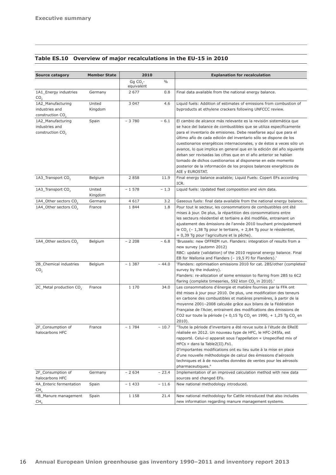|  | Table ES.10 Overview of major recalculations in the EU-15 in 2010 |
|--|-------------------------------------------------------------------|
|--|-------------------------------------------------------------------|

| <b>Source catagory</b>                                              | <b>Member State</b> | 2010                     |               | <b>Explanation for recalculation</b>                                                                                                                                                                                                                                                                                                                                                                                                                                                                                                                                                                                                                          |  |  |  |  |
|---------------------------------------------------------------------|---------------------|--------------------------|---------------|---------------------------------------------------------------------------------------------------------------------------------------------------------------------------------------------------------------------------------------------------------------------------------------------------------------------------------------------------------------------------------------------------------------------------------------------------------------------------------------------------------------------------------------------------------------------------------------------------------------------------------------------------------------|--|--|--|--|
|                                                                     |                     | Gg $CO2$ -<br>equivalent | $\frac{0}{0}$ |                                                                                                                                                                                                                                                                                                                                                                                                                                                                                                                                                                                                                                                               |  |  |  |  |
| 1A1_Energy industries<br>CO <sub>2</sub>                            | Germany             | 2 677                    | 0.8           | Final data available from the national energy balance.                                                                                                                                                                                                                                                                                                                                                                                                                                                                                                                                                                                                        |  |  |  |  |
| 1A2 Manufacturing<br>industries and<br>construction CO <sub>2</sub> | United<br>Kingdom   | 3 0 4 7                  | 4.6           | Liquid fuels: Addition of estimates of emissions from combustion of<br>byproducts at ethylene crackers following UNFCCC review.                                                                                                                                                                                                                                                                                                                                                                                                                                                                                                                               |  |  |  |  |
| 1A2_Manufacturing<br>industries and<br>construction CO <sub>2</sub> | Spain               | $-3780$                  | $-6.1$        | El cambio de alcance más relevante es la revisión sistemática que<br>se hace del balance de combustibles que se utiliza específicamente<br>para el inventario de emisiones. Debe reseñarse aquí que para el<br>último año de cada edición del inventario sólo se dispone de los<br>cuestionarios energéticos internacionales, y de éstos a veces sólo un<br>avance, lo que implica en general que en la edición del año siguiente<br>deban ser revisadas las cifras que en el año anterior se habían<br>tomado de dichos cuestionarios al disponerse en este momento<br>posterior de la información de los propios balances energéticos de<br>AIE y EUROSTAT. |  |  |  |  |
| 1A3_Transport CO <sub>2</sub>                                       | Belgium             | 2 8 5 8                  | 11.9          | Final energy balance available; Liquid Fuels: Copert EFs according<br>ICR.                                                                                                                                                                                                                                                                                                                                                                                                                                                                                                                                                                                    |  |  |  |  |
| 1A3_Transport CO <sub>2</sub>                                       | United<br>Kingdom   | $-1578$                  | $-1.3$        | Liquid fuels: Updated fleet composition and vkm data.                                                                                                                                                                                                                                                                                                                                                                                                                                                                                                                                                                                                         |  |  |  |  |
| 1A4_Other sectors CO <sub>2</sub>                                   | Germany             | 4 6 1 7                  | 3.2           | Gaseous fuels: final data available from the national energy balance.                                                                                                                                                                                                                                                                                                                                                                                                                                                                                                                                                                                         |  |  |  |  |
| 1A4_Other sectors CO <sub>2</sub>                                   | France              | 1844                     | 1.8           | Pour tout le secteur, les consommations de combustibles ont été<br>mises à jour. De plus, la répartition des consommations entre<br>les secteurs résidentiel et tertiaire a été modifiée, entrainant un<br>ajustement des émissions de l'année 2010 touchant principalement<br>le CO <sub>2</sub> (- 1,38 Tg pour le tertiaire, + 2,84 Tg pour le résidentiel,<br>+ 0,39 Tg pour l'agriculture et la pêche).                                                                                                                                                                                                                                                  |  |  |  |  |
| 1A4_Other sectors CO <sub>2</sub>                                   | Belgium             | $-2208$                  | $-6.8$        | 'Brussels: new OFFREM run. Flanders: integration of results from a<br>new survey (automn 2012)<br>RBC: update (validation) of the 2010 regional energy balance. Final<br>EB for Wallonia and Flanders (- 19,5 PJ for Flanders).'                                                                                                                                                                                                                                                                                                                                                                                                                              |  |  |  |  |
| 2B_Chemical industries<br>CO <sub>2</sub>                           | Belgium             | $-1387$                  | $-44.0$       | 'Flanders: optimisation emissions 2010 for cat. 2B5/other (completed<br>survey by the industry).<br>Flanders: re-allocation of some emission to flaring from 2B5 to 6C2<br>flaring (complete timeseries, 592 kton CO <sub>2</sub> in 2010).'                                                                                                                                                                                                                                                                                                                                                                                                                  |  |  |  |  |
| 2C_Metal production CO <sub>2</sub>                                 | France              | 1 170                    | 34.0          | Les consommations d'énergie et matière fournies par la FFA ont<br>été mises à jour pour 2010. De plus, une modification des teneurs<br>en carbone des combustibles et matières premières, à partir de la<br>moyenne 2001-2008 calculée grâce aux bilans de la Fédération<br>Française de l'Acier, entrainent des modifications des émissions de<br>CO2 sur toute la période (+ 0,15 Tg CO <sub>2</sub> en 1990, + 1,25 Tg CO <sub>2</sub> en<br>2010).                                                                                                                                                                                                        |  |  |  |  |
| 2F_Consumption of<br>halocarbons HFC                                | France              | $-1784$                  | $-10.7$       | "Toute la période d'inventaire a été revue suite à l'étude de EReIE<br>réalisée en 2012. Un nouveau type de HFC, le HFC-245fa, est<br>rapporté. Celui-ci apparait sous l'appellation « Unspecified mix of<br>HFCs » dans la Table2(II).Fs1.<br>D'importantes modifications ont eu lieu suite à la mise en place<br>d'une nouvelle méthodologie de calcul des émissions d'aérosols<br>techniques et à de nouvelles données de ventes pour les aérosols<br>pharmaceutiques."                                                                                                                                                                                    |  |  |  |  |
| 2F_Consumption of<br>halocarbons HFC                                | Germany             | $-2634$                  | $-23.4$       | Implementation of an improved calculation method with new data<br>sources and changed EFs.                                                                                                                                                                                                                                                                                                                                                                                                                                                                                                                                                                    |  |  |  |  |
| 4A_Enteric fermentation<br>CH <sub>4</sub>                          | Spain               | $-1433$                  | $-11.6$       | New national methodology introduced.                                                                                                                                                                                                                                                                                                                                                                                                                                                                                                                                                                                                                          |  |  |  |  |
| 4B_Manure management<br>CH <sub>4</sub>                             | Spain               | 1 1 5 8                  | 21.4          | New national methodology for Cattle introduced that also includes<br>new information regarding manure management systems.                                                                                                                                                                                                                                                                                                                                                                                                                                                                                                                                     |  |  |  |  |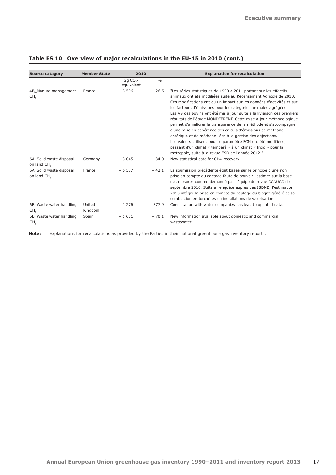| <b>Source catagory</b>                  | <b>Member State</b> | 2010                     |               | <b>Explanation for recalculation</b>                                                                                                                                                                                                                                                                                                                                                                                                                                                                                                                                                                                                                                                                                                                                                                                     |  |  |  |
|-----------------------------------------|---------------------|--------------------------|---------------|--------------------------------------------------------------------------------------------------------------------------------------------------------------------------------------------------------------------------------------------------------------------------------------------------------------------------------------------------------------------------------------------------------------------------------------------------------------------------------------------------------------------------------------------------------------------------------------------------------------------------------------------------------------------------------------------------------------------------------------------------------------------------------------------------------------------------|--|--|--|
|                                         |                     | Gq $CO2$ -<br>equivalent | $\frac{0}{0}$ |                                                                                                                                                                                                                                                                                                                                                                                                                                                                                                                                                                                                                                                                                                                                                                                                                          |  |  |  |
| 4B_Manure management<br>CH <sub>4</sub> | France              | $-3596$                  | $-26.5$       | "Les séries statistiques de 1990 à 2011 portant sur les effectifs<br>animaux ont été modifiées suite au Recensement Agricole de 2010.<br>Ces modifications ont eu un impact sur les données d'activités et sur<br>les facteurs d'émissions pour les catégories animales agrégées.<br>Les VS des bovins ont été mis à jour suite à la livraison des premiers<br>résultats de l'étude MONDFERENT. Cette mise à jour méthodologique<br>permet d'améliorer la transparence de la méthode et s'accompagne<br>d'une mise en cohérence des calculs d'émissions de méthane<br>entérique et de méthane liées à la gestion des déjections.<br>Les valeurs utilisées pour le paramètre FCM ont été modifiées,<br>passant d'un climat « tempéré » à un climat « froid » pour la<br>métropole, suite à la revue ESD de l'année 2012." |  |  |  |
| 6A Solid waste disposal<br>on land CH.  | Germany             | 3 0 4 5                  | 34.0          | New statistical data for CH4-recovery.                                                                                                                                                                                                                                                                                                                                                                                                                                                                                                                                                                                                                                                                                                                                                                                   |  |  |  |
| 6A Solid waste disposal<br>on land CH   | France              | $-6.587$                 | $-42.1$       | La soumission précédente était basée sur le principe d'une non<br>prise en compte du captage faute de pouvoir l'estimer sur la base<br>des mesures comme demandé par l'équipe de revue CCNUCC de<br>septembre 2010. Suite à l'enquête auprès des ISDND, l'estimation<br>2013 intègre la prise en compte du captage du biogaz généré et sa<br>combustion en torchères ou installations de valorisation.                                                                                                                                                                                                                                                                                                                                                                                                                   |  |  |  |
| 6B Waste water handling                 | United              | 1 2 7 6                  | 377.9         | Consultation with water companies has lead to updated data.                                                                                                                                                                                                                                                                                                                                                                                                                                                                                                                                                                                                                                                                                                                                                              |  |  |  |
| CH <sub>4</sub>                         | Kingdom             |                          |               |                                                                                                                                                                                                                                                                                                                                                                                                                                                                                                                                                                                                                                                                                                                                                                                                                          |  |  |  |
| 6B_Waste water handling<br>CH,          | Spain               | $-1651$                  | $-70.1$       | New information available about domestic and commercial<br>wastewater.                                                                                                                                                                                                                                                                                                                                                                                                                                                                                                                                                                                                                                                                                                                                                   |  |  |  |

# **Table ES.10 Overview of major recalculations in the EU-15 in 2010 (cont.)**

**Note:** Explanations for recalculations as provided by the Parties in their national greenhouse gas inventory reports.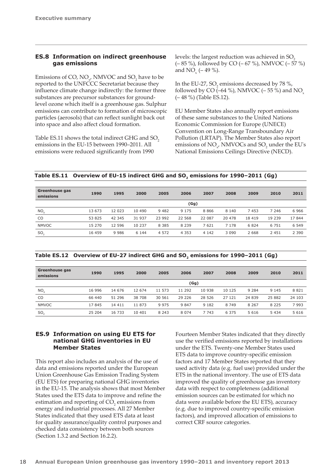# <span id="page-19-0"></span>**ES.8 Information on indirect greenhouse gas emissions**

Emissions of CO,  $NO_{x}$ , NMVOC and  $SO_{2}$  have to be reported to the UNFCCC Secretariat because they influence climate change indirectly: the former three substances are precursor substances for groundlevel ozone which itself is a greenhouse gas. Sulphur emissions can contribute to formation of microscopic particles (aerosols) that can reflect sunlight back out into space and also affect cloud formation.

Table ES.11 shows the total indirect GHG and SO<sub>2</sub> emissions in the EU-15 between 1990–2011. All emissions were reduced significantly from 1990

levels: the largest reduction was achieved in SO<sub>2</sub> (– 85 %), followed by CO (– 67 %), NMVOC (– 57 %) and NO<sub>x</sub> ( $-49\%$ ).

In the EU-27,  $SO_2$  emissions decreased by 78 %, followed by CO  $(-64\%)$ , NMVOC  $(-55\%)$  and NO<sub>x</sub> (– 48 %) (Table ES.12).

EU Member States also annually report emissions of these same substances to the United Nations Economic Commission for Europe (UNECE) Convention on Long-Range Transboundary Air Pollution (LRTAP). The Member States also report emissions of  $NO_{x}$ , NMVOCs and  $SO_{2}$  under the EU's National Emissions Ceilings Directive (NECD).

Table ES.11 Overview of EU-15 indirect GHG and SO<sub>2</sub> emissions for 1990-2011 (Gg)

| Greenhouse gas<br>emissions | 1990   | 1995   | 2000    | 2005    | 2006    | 2007    | 2008    | 2009    | 2010    | 2011    |  |  |
|-----------------------------|--------|--------|---------|---------|---------|---------|---------|---------|---------|---------|--|--|
|                             | (Gg)   |        |         |         |         |         |         |         |         |         |  |  |
| $NO_{\vee}$                 | 13 673 | 12 023 | 10 490  | 9482    | 9 1 7 5 | 8866    | 8 1 4 0 | 7453    | 7 2 4 6 | 6966    |  |  |
| CO.                         | 53 825 | 42 345 | 31 937  | 23 992  | 22 568  | 22 087  | 20 478  | 18 4 19 | 19 239  | 17844   |  |  |
| <b>NMVOC</b>                | 15 270 | 12 596 | 10 237  | 8 3 8 5 | 8 2 3 9 | 7621    | 7 1 7 8 | 6824    | 6 7 5 1 | 6 5 4 9 |  |  |
| SO <sub>2</sub>             | 16 459 | 9986   | 6 1 4 4 | 4 5 7 2 | 4 3 5 3 | 4 1 4 2 | 3 0 9 0 | 2 6 6 8 | 2 4 5 1 | 2 3 9 0 |  |  |

| Table ES.12 Overview of EU-27 indirect GHG and SO, emissions for 1990–2011 (Gg) |  |
|---------------------------------------------------------------------------------|--|
|---------------------------------------------------------------------------------|--|

| <b>Greenhouse gas</b><br>emissions | 1990   | 1995    | 2000   | 2005    | 2006    | 2007    | 2008    | 2009    | 2010    | 2011    |  |
|------------------------------------|--------|---------|--------|---------|---------|---------|---------|---------|---------|---------|--|
|                                    | (Gg)   |         |        |         |         |         |         |         |         |         |  |
| NO <sub>x</sub>                    | 16 996 | 14 676  | 12 674 | 11 573  | 11 292  | 10 938  | 10 125  | 9 2 8 4 | 9 1 4 5 | 8 8 2 1 |  |
| CO                                 | 66 440 | 51 296  | 38 708 | 30 561  | 29 2 26 | 28 5 26 | 27 121  | 24 839  | 25 882  | 24 103  |  |
| <b>NMVOC</b>                       | 17845  | 14 4 11 | 11 873 | 9 9 7 5 | 9 8 4 7 | 9 1 8 2 | 8 7 4 9 | 8 2 6 7 | 8 2 2 5 | 7993    |  |
| SO <sub>2</sub>                    | 25 204 | 16 733  | 10 401 | 8 2 4 3 | 8 0 7 4 | 7 7 4 3 | 6 3 7 5 | 5 6 1 6 | 5 4 3 4 | 5 6 1 6 |  |

# **ES.9 Information on using EU ETS for national GHG inventories in EU Member States**

This report also includes an analysis of the use of data and emissions reported under the European Union Greenhouse Gas Emission Trading System (EU ETS) for preparing national GHG inventories in the EU-15. The analysis shows that most Member States used the ETS data to improve and refine the estimation and reporting of  $CO<sub>2</sub>$  emissions from energy and industrial processes. All 27 Member States indicated that they used ETS data at least for quality assurance/quality control purposes and checked data consistency between both sources (Section 1.3.2 and Section 16.2.2).

Fourteen Member States indicated that they directly use the verified emissions reported by installations under the ETS. Twenty-one Member States used ETS data to improve country-specific emission factors and 17 Member States reported that they used activity data (e.g. fuel use) provided under the ETS in the national inventory. The use of ETS data improved the quality of greenhouse gas inventory data with respect to completeness (additional emission sources can be estimated for which no data were available before the EU ETS), accuracy (e.g. due to improved country-specific emission factors), and improved allocation of emissions to correct CRF source categories.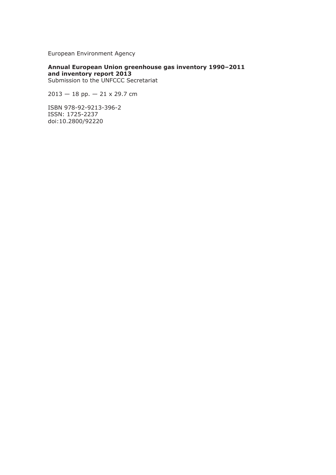European Environment Agency

**Annual European Union greenhouse gas inventory 1990–2011 and inventory report 2013** Submission to the UNFCCC Secretariat

 $2013 - 18$  pp.  $- 21 \times 29.7$  cm

ISBN 978-92-9213-396-2 ISSN: 1725-2237 doi:10.2800/92220